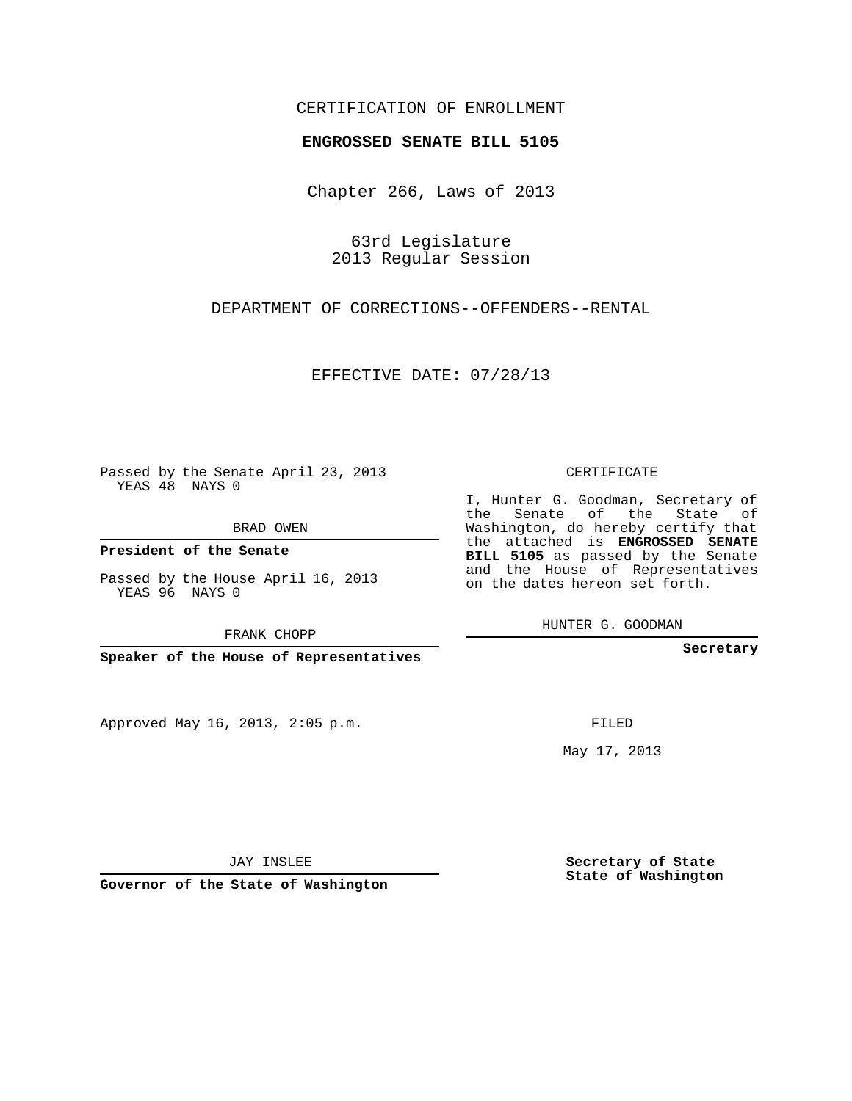### CERTIFICATION OF ENROLLMENT

#### **ENGROSSED SENATE BILL 5105**

Chapter 266, Laws of 2013

63rd Legislature 2013 Regular Session

DEPARTMENT OF CORRECTIONS--OFFENDERS--RENTAL

EFFECTIVE DATE: 07/28/13

Passed by the Senate April 23, 2013 YEAS 48 NAYS 0

BRAD OWEN

**President of the Senate**

Passed by the House April 16, 2013 YEAS 96 NAYS 0

FRANK CHOPP

**Speaker of the House of Representatives**

Approved May 16, 2013, 2:05 p.m.

CERTIFICATE

I, Hunter G. Goodman, Secretary of the Senate of the State of Washington, do hereby certify that the attached is **ENGROSSED SENATE BILL 5105** as passed by the Senate and the House of Representatives on the dates hereon set forth.

HUNTER G. GOODMAN

**Secretary**

FILED

May 17, 2013

**Secretary of State State of Washington**

JAY INSLEE

**Governor of the State of Washington**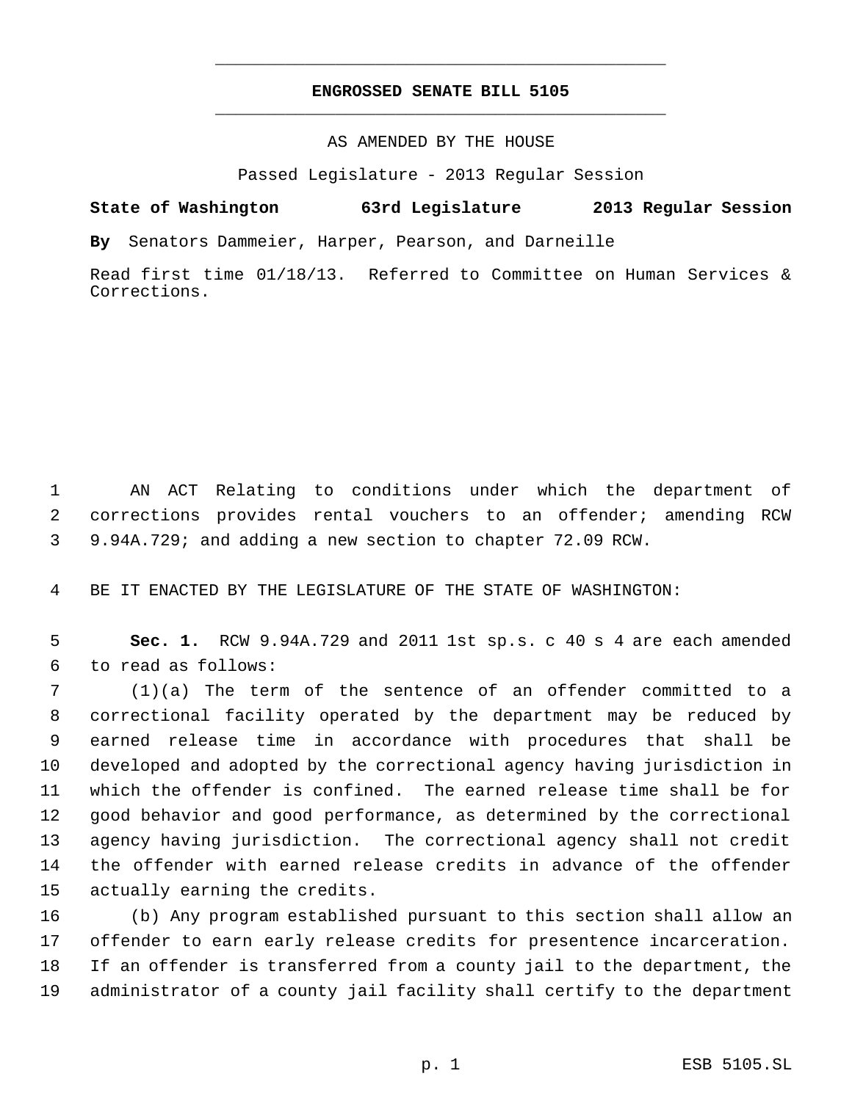## **ENGROSSED SENATE BILL 5105** \_\_\_\_\_\_\_\_\_\_\_\_\_\_\_\_\_\_\_\_\_\_\_\_\_\_\_\_\_\_\_\_\_\_\_\_\_\_\_\_\_\_\_\_\_

\_\_\_\_\_\_\_\_\_\_\_\_\_\_\_\_\_\_\_\_\_\_\_\_\_\_\_\_\_\_\_\_\_\_\_\_\_\_\_\_\_\_\_\_\_

#### AS AMENDED BY THE HOUSE

Passed Legislature - 2013 Regular Session

# **State of Washington 63rd Legislature 2013 Regular Session**

**By** Senators Dammeier, Harper, Pearson, and Darneille

Read first time 01/18/13. Referred to Committee on Human Services & Corrections.

 AN ACT Relating to conditions under which the department of corrections provides rental vouchers to an offender; amending RCW 9.94A.729; and adding a new section to chapter 72.09 RCW.

BE IT ENACTED BY THE LEGISLATURE OF THE STATE OF WASHINGTON:

 **Sec. 1.** RCW 9.94A.729 and 2011 1st sp.s. c 40 s 4 are each amended to read as follows:

 (1)(a) The term of the sentence of an offender committed to a correctional facility operated by the department may be reduced by earned release time in accordance with procedures that shall be developed and adopted by the correctional agency having jurisdiction in which the offender is confined. The earned release time shall be for good behavior and good performance, as determined by the correctional agency having jurisdiction. The correctional agency shall not credit the offender with earned release credits in advance of the offender actually earning the credits.

 (b) Any program established pursuant to this section shall allow an offender to earn early release credits for presentence incarceration. If an offender is transferred from a county jail to the department, the administrator of a county jail facility shall certify to the department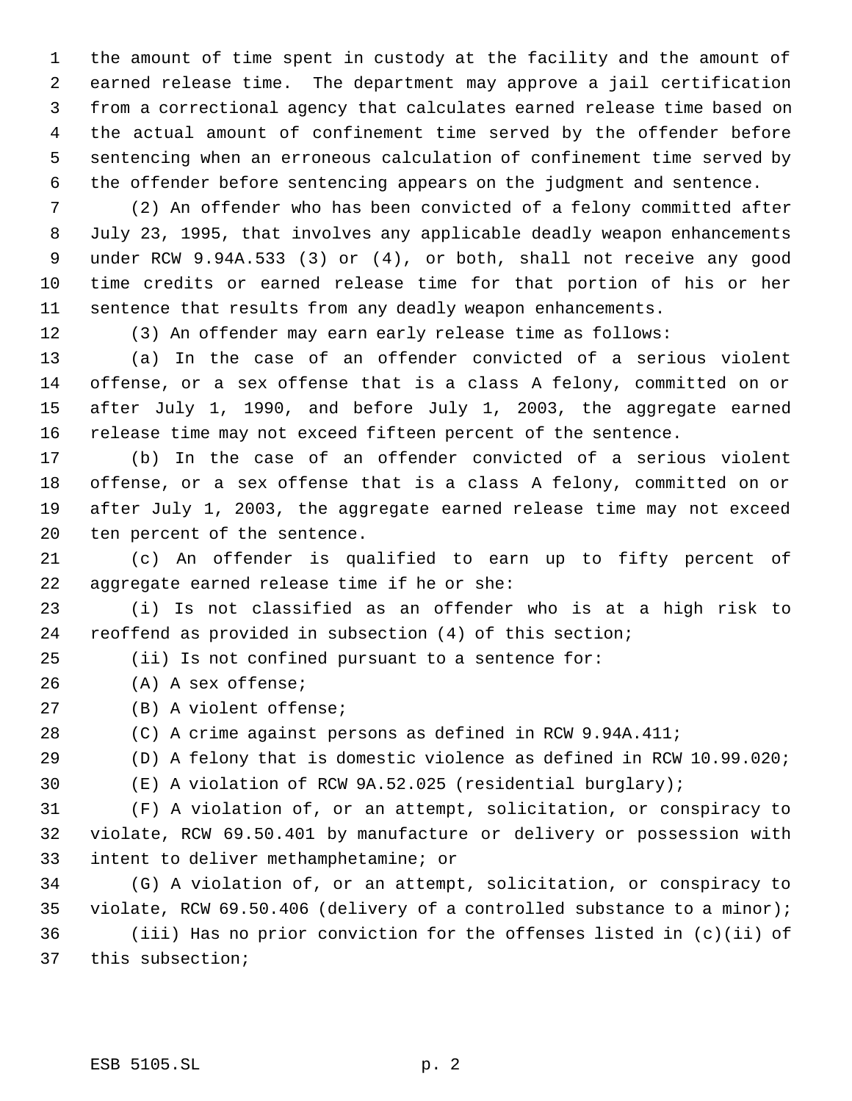the amount of time spent in custody at the facility and the amount of earned release time. The department may approve a jail certification from a correctional agency that calculates earned release time based on the actual amount of confinement time served by the offender before sentencing when an erroneous calculation of confinement time served by the offender before sentencing appears on the judgment and sentence.

 (2) An offender who has been convicted of a felony committed after July 23, 1995, that involves any applicable deadly weapon enhancements under RCW 9.94A.533 (3) or (4), or both, shall not receive any good time credits or earned release time for that portion of his or her sentence that results from any deadly weapon enhancements.

(3) An offender may earn early release time as follows:

 (a) In the case of an offender convicted of a serious violent offense, or a sex offense that is a class A felony, committed on or after July 1, 1990, and before July 1, 2003, the aggregate earned release time may not exceed fifteen percent of the sentence.

 (b) In the case of an offender convicted of a serious violent offense, or a sex offense that is a class A felony, committed on or after July 1, 2003, the aggregate earned release time may not exceed ten percent of the sentence.

 (c) An offender is qualified to earn up to fifty percent of aggregate earned release time if he or she:

 (i) Is not classified as an offender who is at a high risk to reoffend as provided in subsection (4) of this section;

(ii) Is not confined pursuant to a sentence for:

(A) A sex offense;

(B) A violent offense;

(C) A crime against persons as defined in RCW 9.94A.411;

(D) A felony that is domestic violence as defined in RCW 10.99.020;

(E) A violation of RCW 9A.52.025 (residential burglary);

 (F) A violation of, or an attempt, solicitation, or conspiracy to violate, RCW 69.50.401 by manufacture or delivery or possession with intent to deliver methamphetamine; or

 (G) A violation of, or an attempt, solicitation, or conspiracy to violate, RCW 69.50.406 (delivery of a controlled substance to a minor); (iii) Has no prior conviction for the offenses listed in (c)(ii) of this subsection;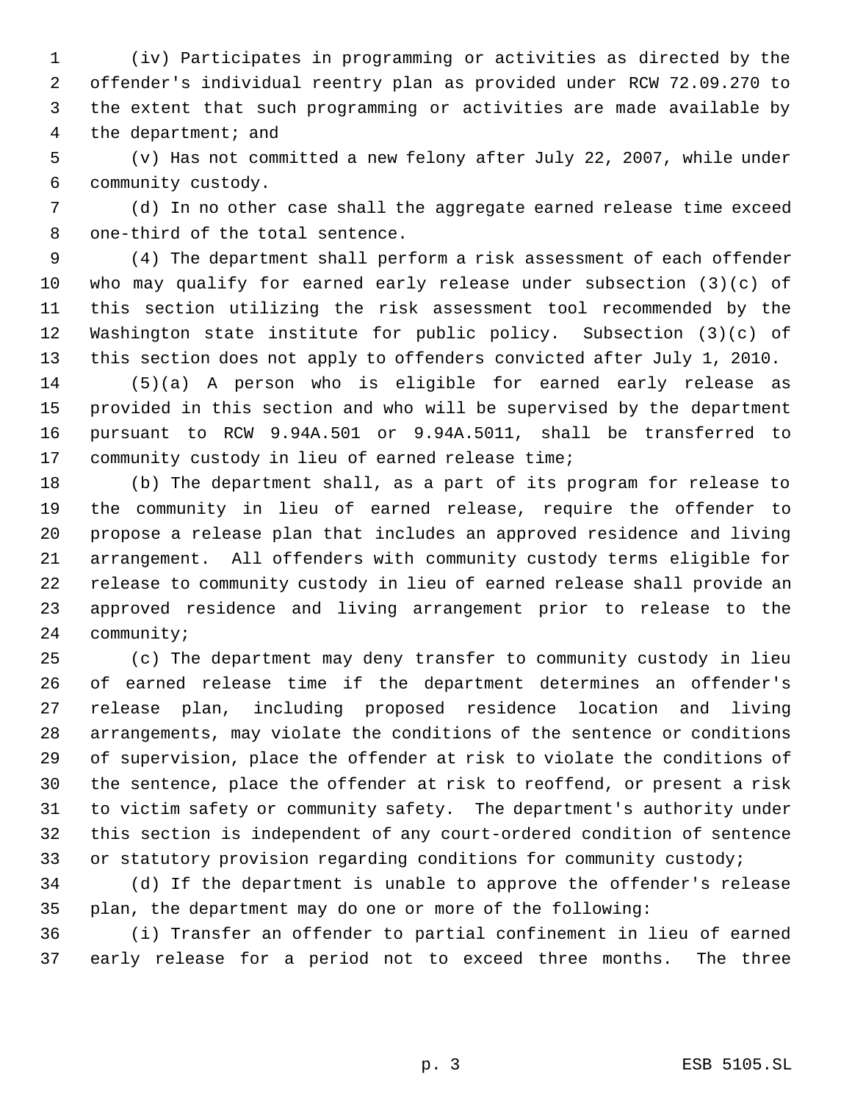(iv) Participates in programming or activities as directed by the offender's individual reentry plan as provided under RCW 72.09.270 to the extent that such programming or activities are made available by the department; and

 (v) Has not committed a new felony after July 22, 2007, while under community custody.

 (d) In no other case shall the aggregate earned release time exceed one-third of the total sentence.

 (4) The department shall perform a risk assessment of each offender who may qualify for earned early release under subsection (3)(c) of this section utilizing the risk assessment tool recommended by the Washington state institute for public policy. Subsection (3)(c) of this section does not apply to offenders convicted after July 1, 2010.

 (5)(a) A person who is eligible for earned early release as provided in this section and who will be supervised by the department pursuant to RCW 9.94A.501 or 9.94A.5011, shall be transferred to community custody in lieu of earned release time;

 (b) The department shall, as a part of its program for release to the community in lieu of earned release, require the offender to propose a release plan that includes an approved residence and living arrangement. All offenders with community custody terms eligible for release to community custody in lieu of earned release shall provide an approved residence and living arrangement prior to release to the community;

 (c) The department may deny transfer to community custody in lieu of earned release time if the department determines an offender's release plan, including proposed residence location and living arrangements, may violate the conditions of the sentence or conditions of supervision, place the offender at risk to violate the conditions of the sentence, place the offender at risk to reoffend, or present a risk to victim safety or community safety. The department's authority under this section is independent of any court-ordered condition of sentence 33 or statutory provision regarding conditions for community custody;

 (d) If the department is unable to approve the offender's release plan, the department may do one or more of the following:

 (i) Transfer an offender to partial confinement in lieu of earned early release for a period not to exceed three months. The three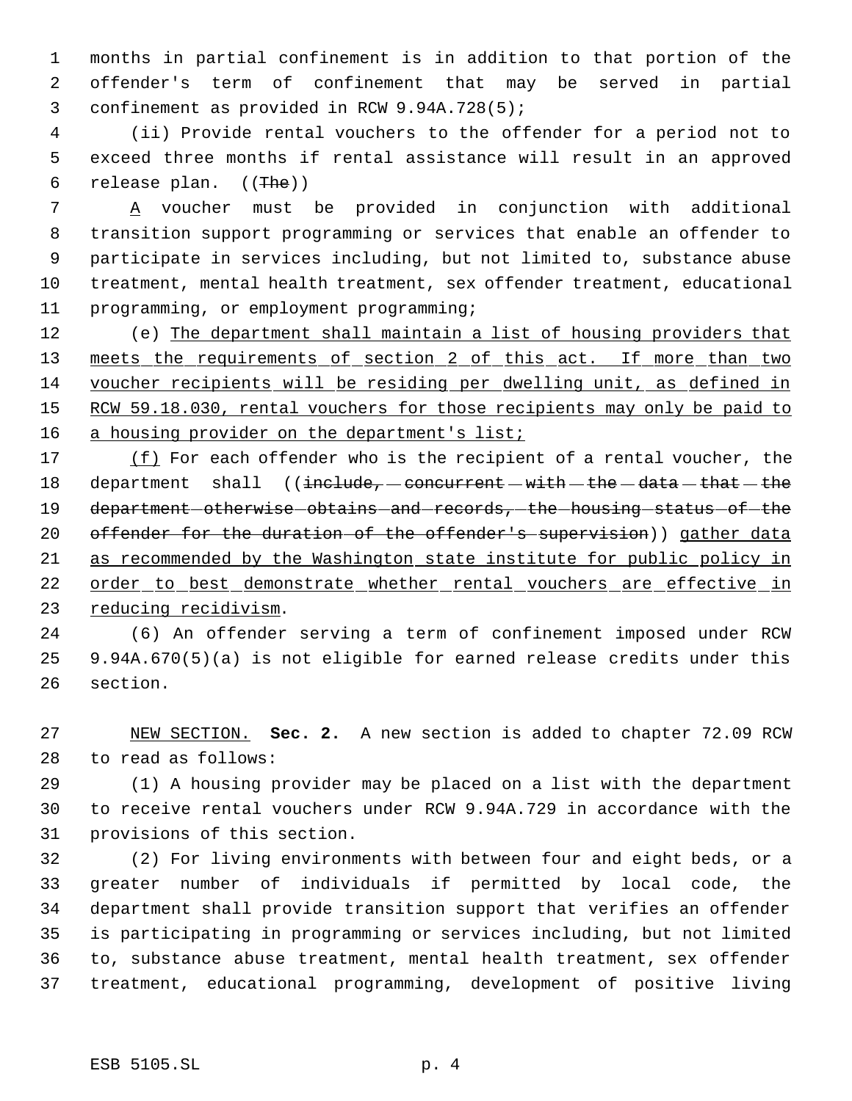months in partial confinement is in addition to that portion of the offender's term of confinement that may be served in partial confinement as provided in RCW 9.94A.728(5);

 (ii) Provide rental vouchers to the offender for a period not to exceed three months if rental assistance will result in an approved release plan. ((The))

 A voucher must be provided in conjunction with additional transition support programming or services that enable an offender to participate in services including, but not limited to, substance abuse treatment, mental health treatment, sex offender treatment, educational programming, or employment programming;

 (e) The department shall maintain a list of housing providers that 13 meets the requirements of section 2 of this act. If more than two voucher recipients will be residing per dwelling unit, as defined in 15 RCW 59.18.030, rental vouchers for those recipients may only be paid to 16 a housing provider on the department's list;

17 (f) For each offender who is the recipient of a rental voucher, the 18 department shall  $($ include, concurrent  $-with - the - data - that - the$ 19 department otherwise obtains and records, the housing status of the 20 offender for the duration of the offender's supervision)) gather data as recommended by the Washington state institute for public policy in 22 order to best demonstrate whether rental vouchers are effective in reducing recidivism.

 (6) An offender serving a term of confinement imposed under RCW 9.94A.670(5)(a) is not eligible for earned release credits under this section.

 NEW SECTION. **Sec. 2.** A new section is added to chapter 72.09 RCW to read as follows:

 (1) A housing provider may be placed on a list with the department to receive rental vouchers under RCW 9.94A.729 in accordance with the provisions of this section.

 (2) For living environments with between four and eight beds, or a greater number of individuals if permitted by local code, the department shall provide transition support that verifies an offender is participating in programming or services including, but not limited to, substance abuse treatment, mental health treatment, sex offender treatment, educational programming, development of positive living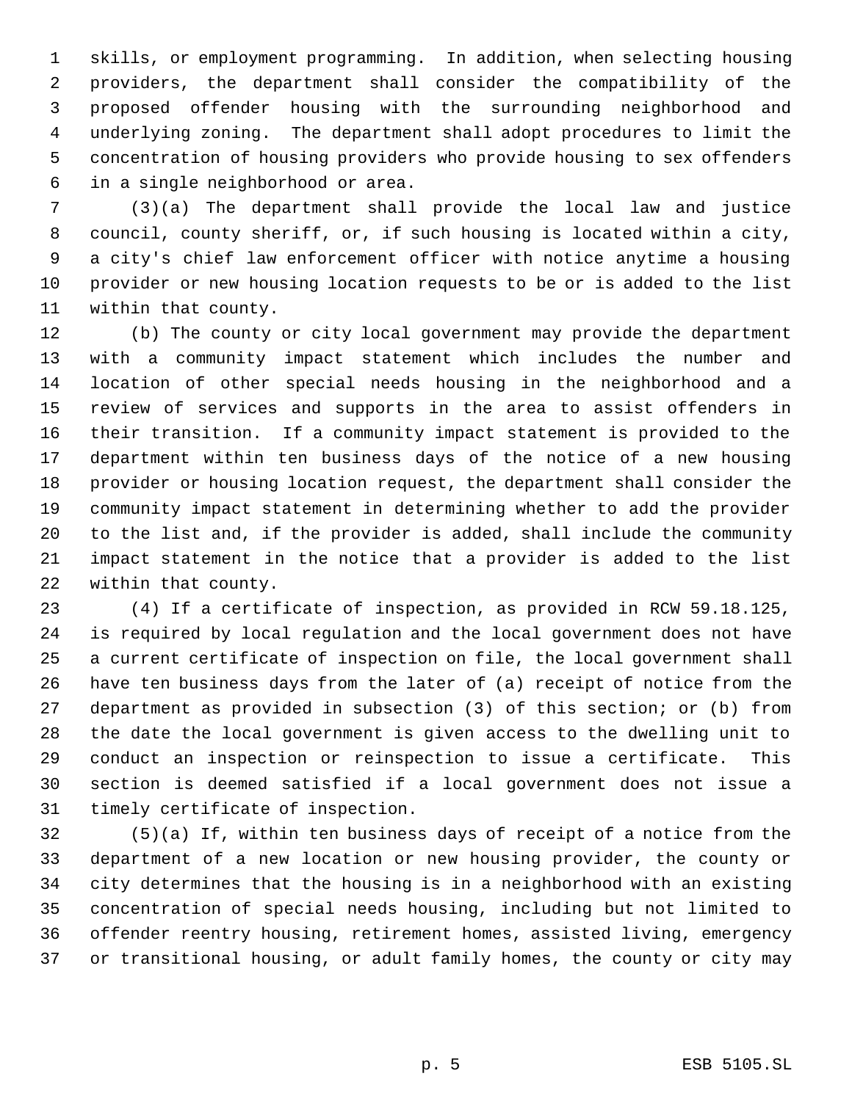skills, or employment programming. In addition, when selecting housing providers, the department shall consider the compatibility of the proposed offender housing with the surrounding neighborhood and underlying zoning. The department shall adopt procedures to limit the concentration of housing providers who provide housing to sex offenders in a single neighborhood or area.

 (3)(a) The department shall provide the local law and justice council, county sheriff, or, if such housing is located within a city, a city's chief law enforcement officer with notice anytime a housing provider or new housing location requests to be or is added to the list within that county.

 (b) The county or city local government may provide the department with a community impact statement which includes the number and location of other special needs housing in the neighborhood and a review of services and supports in the area to assist offenders in their transition. If a community impact statement is provided to the department within ten business days of the notice of a new housing provider or housing location request, the department shall consider the community impact statement in determining whether to add the provider to the list and, if the provider is added, shall include the community impact statement in the notice that a provider is added to the list within that county.

 (4) If a certificate of inspection, as provided in RCW 59.18.125, is required by local regulation and the local government does not have a current certificate of inspection on file, the local government shall have ten business days from the later of (a) receipt of notice from the department as provided in subsection (3) of this section; or (b) from the date the local government is given access to the dwelling unit to conduct an inspection or reinspection to issue a certificate. This section is deemed satisfied if a local government does not issue a timely certificate of inspection.

 (5)(a) If, within ten business days of receipt of a notice from the department of a new location or new housing provider, the county or city determines that the housing is in a neighborhood with an existing concentration of special needs housing, including but not limited to offender reentry housing, retirement homes, assisted living, emergency or transitional housing, or adult family homes, the county or city may